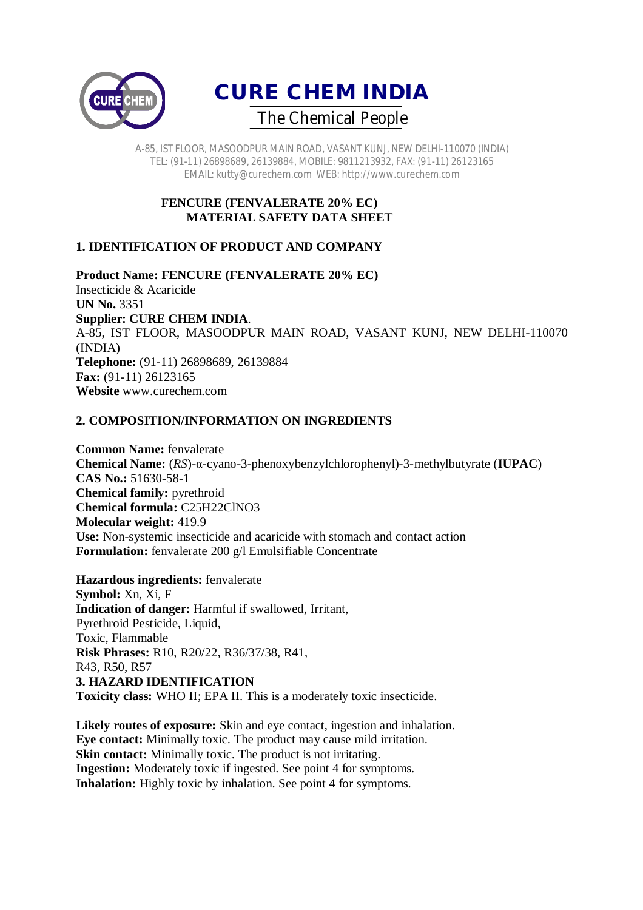



### **FENCURE (FENVALERATE 20% EC) MATERIAL SAFETY DATA SHEET**

# **1. IDENTIFICATION OF PRODUCT AND COMPANY**

**Product Name: FENCURE (FENVALERATE 20% EC)** Insecticide & Acaricide **UN No.** 3351 **Supplier: CURE CHEM INDIA**. A-85, IST FLOOR, MASOODPUR MAIN ROAD, VASANT KUNJ, NEW DELHI-110070 (INDIA) **Telephone:** (91-11) 26898689, 26139884 **Fax:** (91-11) 26123165 **Website** www.curechem.com

## **2. COMPOSITION/INFORMATION ON INGREDIENTS**

**Common Name:** fenvalerate **Chemical Name:** (*RS*)-α-cyano-3-phenoxybenzylchlorophenyl)-3-methylbutyrate (**IUPAC**) **CAS No.:** 51630-58-1 **Chemical family:** pyrethroid **Chemical formula:** C25H22ClNO3 **Molecular weight:** 419.9 **Use:** Non-systemic insecticide and acaricide with stomach and contact action **Formulation:** fenvalerate 200 g/l Emulsifiable Concentrate

**Hazardous ingredients:** fenvalerate **Symbol:** Xn, Xi, F **Indication of danger:** Harmful if swallowed, Irritant, Pyrethroid Pesticide, Liquid, Toxic, Flammable **Risk Phrases:** R10, R20/22, R36/37/38, R41, R43, R50, R57 **3. HAZARD IDENTIFICATION Toxicity class:** WHO II; EPA II. This is a moderately toxic insecticide.

**Likely routes of exposure:** Skin and eye contact, ingestion and inhalation. **Eye contact:** Minimally toxic. The product may cause mild irritation. **Skin contact:** Minimally toxic. The product is not irritating. **Ingestion:** Moderately toxic if ingested. See point 4 for symptoms. **Inhalation:** Highly toxic by inhalation. See point 4 for symptoms.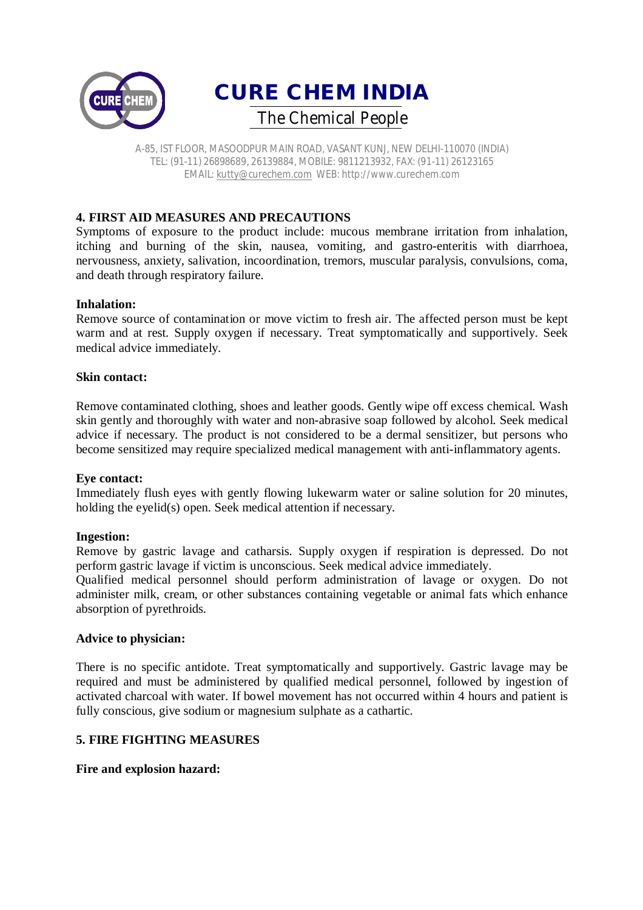



### **4. FIRST AID MEASURES AND PRECAUTIONS**

Symptoms of exposure to the product include: mucous membrane irritation from inhalation, itching and burning of the skin, nausea, vomiting, and gastro-enteritis with diarrhoea, nervousness, anxiety, salivation, incoordination, tremors, muscular paralysis, convulsions, coma, and death through respiratory failure.

#### **Inhalation:**

Remove source of contamination or move victim to fresh air. The affected person must be kept warm and at rest. Supply oxygen if necessary. Treat symptomatically and supportively. Seek medical advice immediately.

#### **Skin contact:**

Remove contaminated clothing, shoes and leather goods. Gently wipe off excess chemical. Wash skin gently and thoroughly with water and non-abrasive soap followed by alcohol. Seek medical advice if necessary. The product is not considered to be a dermal sensitizer, but persons who become sensitized may require specialized medical management with anti-inflammatory agents.

#### **Eye contact:**

Immediately flush eyes with gently flowing lukewarm water or saline solution for 20 minutes, holding the eyelid(s) open. Seek medical attention if necessary.

#### **Ingestion:**

Remove by gastric lavage and catharsis. Supply oxygen if respiration is depressed. Do not perform gastric lavage if victim is unconscious. Seek medical advice immediately.

Qualified medical personnel should perform administration of lavage or oxygen. Do not administer milk, cream, or other substances containing vegetable or animal fats which enhance absorption of pyrethroids.

#### **Advice to physician:**

There is no specific antidote. Treat symptomatically and supportively. Gastric lavage may be required and must be administered by qualified medical personnel, followed by ingestion of activated charcoal with water. If bowel movement has not occurred within 4 hours and patient is fully conscious, give sodium or magnesium sulphate as a cathartic.

### **5. FIRE FIGHTING MEASURES**

#### **Fire and explosion hazard:**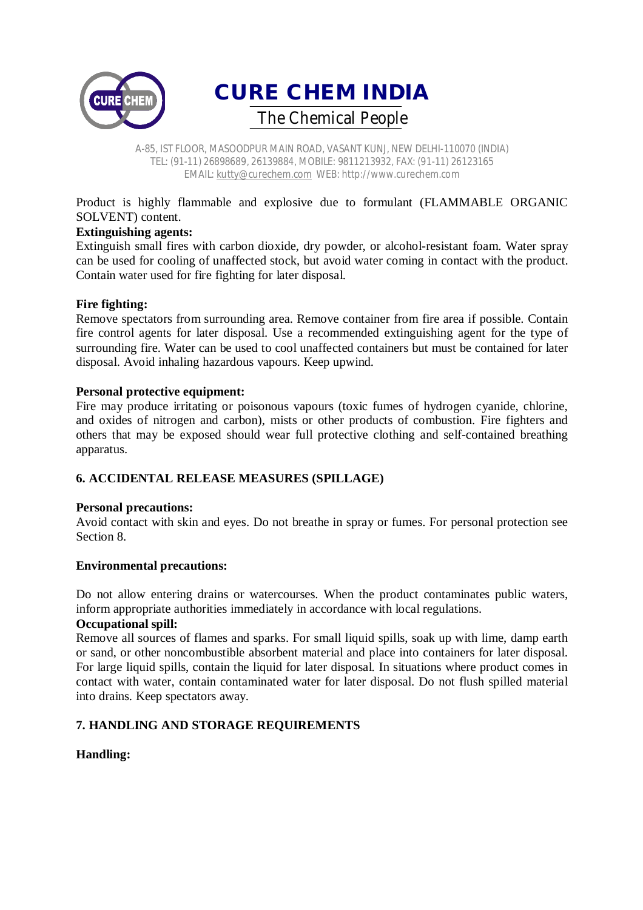



Product is highly flammable and explosive due to formulant (FLAMMABLE ORGANIC SOLVENT) content.

## **Extinguishing agents:**

Extinguish small fires with carbon dioxide, dry powder, or alcohol-resistant foam. Water spray can be used for cooling of unaffected stock, but avoid water coming in contact with the product. Contain water used for fire fighting for later disposal.

#### **Fire fighting:**

Remove spectators from surrounding area. Remove container from fire area if possible. Contain fire control agents for later disposal. Use a recommended extinguishing agent for the type of surrounding fire. Water can be used to cool unaffected containers but must be contained for later disposal. Avoid inhaling hazardous vapours. Keep upwind.

#### **Personal protective equipment:**

Fire may produce irritating or poisonous vapours (toxic fumes of hydrogen cyanide, chlorine, and oxides of nitrogen and carbon), mists or other products of combustion. Fire fighters and others that may be exposed should wear full protective clothing and self-contained breathing apparatus.

# **6. ACCIDENTAL RELEASE MEASURES (SPILLAGE)**

#### **Personal precautions:**

Avoid contact with skin and eyes. Do not breathe in spray or fumes. For personal protection see Section 8.

#### **Environmental precautions:**

Do not allow entering drains or watercourses. When the product contaminates public waters, inform appropriate authorities immediately in accordance with local regulations.

### **Occupational spill:**

Remove all sources of flames and sparks. For small liquid spills, soak up with lime, damp earth or sand, or other noncombustible absorbent material and place into containers for later disposal. For large liquid spills, contain the liquid for later disposal. In situations where product comes in contact with water, contain contaminated water for later disposal. Do not flush spilled material into drains. Keep spectators away.

#### **7. HANDLING AND STORAGE REQUIREMENTS**

#### **Handling:**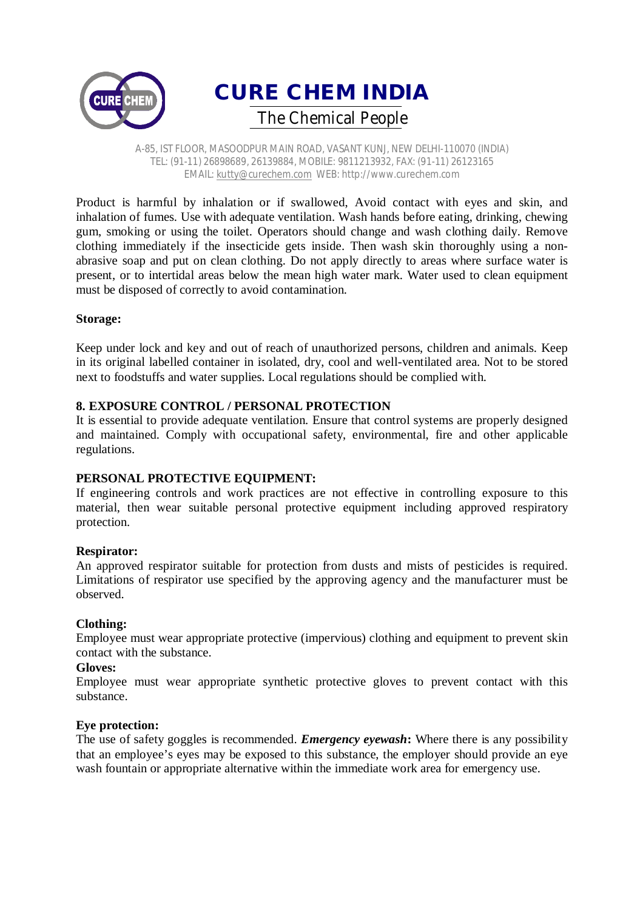



Product is harmful by inhalation or if swallowed, Avoid contact with eyes and skin, and inhalation of fumes. Use with adequate ventilation. Wash hands before eating, drinking, chewing gum, smoking or using the toilet. Operators should change and wash clothing daily. Remove clothing immediately if the insecticide gets inside. Then wash skin thoroughly using a nonabrasive soap and put on clean clothing. Do not apply directly to areas where surface water is present, or to intertidal areas below the mean high water mark. Water used to clean equipment must be disposed of correctly to avoid contamination.

#### **Storage:**

Keep under lock and key and out of reach of unauthorized persons, children and animals. Keep in its original labelled container in isolated, dry, cool and well-ventilated area. Not to be stored next to foodstuffs and water supplies. Local regulations should be complied with.

## **8. EXPOSURE CONTROL / PERSONAL PROTECTION**

It is essential to provide adequate ventilation. Ensure that control systems are properly designed and maintained. Comply with occupational safety, environmental, fire and other applicable regulations.

#### **PERSONAL PROTECTIVE EQUIPMENT:**

If engineering controls and work practices are not effective in controlling exposure to this material, then wear suitable personal protective equipment including approved respiratory protection.

#### **Respirator:**

An approved respirator suitable for protection from dusts and mists of pesticides is required. Limitations of respirator use specified by the approving agency and the manufacturer must be observed.

#### **Clothing:**

Employee must wear appropriate protective (impervious) clothing and equipment to prevent skin contact with the substance.

#### **Gloves:**

Employee must wear appropriate synthetic protective gloves to prevent contact with this substance.

#### **Eye protection:**

The use of safety goggles is recommended. *Emergency eyewash***:** Where there is any possibility that an employee's eyes may be exposed to this substance, the employer should provide an eye wash fountain or appropriate alternative within the immediate work area for emergency use.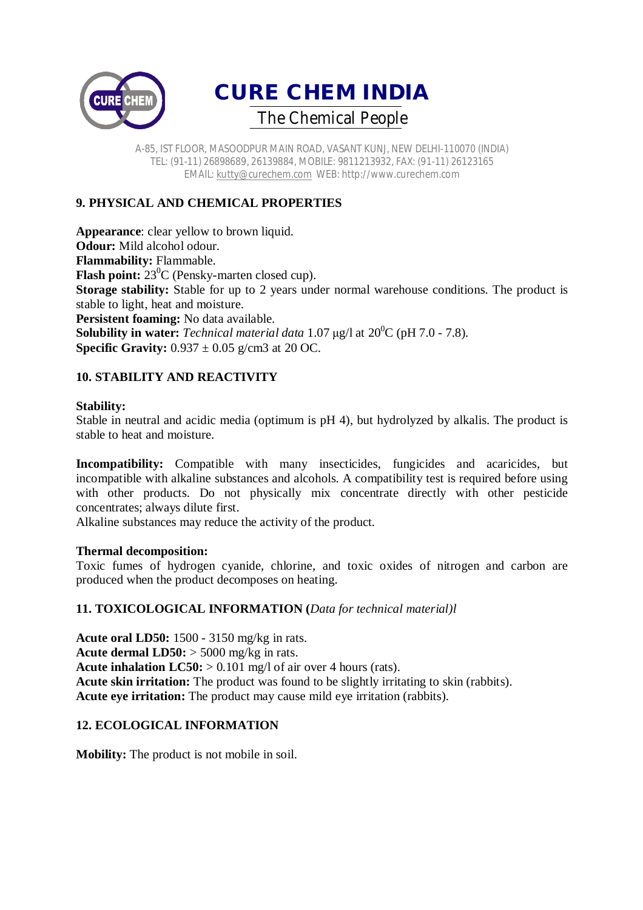



# **9. PHYSICAL AND CHEMICAL PROPERTIES**

**Appearance**: clear yellow to brown liquid. **Odour:** Mild alcohol odour. **Flammability:** Flammable. **Flash point:** 23<sup>0</sup>C (Pensky-marten closed cup). **Storage stability:** Stable for up to 2 years under normal warehouse conditions. The product is stable to light, heat and moisture. **Persistent foaming:** No data available. **Solubility in water:** *Technical material data* 1.07  $\mu$ g/l at 20<sup>0</sup>C (pH 7.0 - 7.8). **Specific Gravity:**  $0.937 \pm 0.05$  g/cm3 at 20 OC.

# **10. STABILITY AND REACTIVITY**

#### **Stability:**

Stable in neutral and acidic media (optimum is pH 4), but hydrolyzed by alkalis. The product is stable to heat and moisture.

**Incompatibility:** Compatible with many insecticides, fungicides and acaricides, but incompatible with alkaline substances and alcohols. A compatibility test is required before using with other products. Do not physically mix concentrate directly with other pesticide concentrates; always dilute first.

Alkaline substances may reduce the activity of the product.

#### **Thermal decomposition:**

Toxic fumes of hydrogen cyanide, chlorine, and toxic oxides of nitrogen and carbon are produced when the product decomposes on heating.

#### **11. TOXICOLOGICAL INFORMATION (***Data for technical material)l*

**Acute oral LD50:** 1500 - 3150 mg/kg in rats. **Acute dermal LD50:** > 5000 mg/kg in rats. **Acute inhalation LC50:** > 0.101 mg/l of air over 4 hours (rats). **Acute skin irritation:** The product was found to be slightly irritating to skin (rabbits). **Acute eye irritation:** The product may cause mild eye irritation (rabbits).

#### **12. ECOLOGICAL INFORMATION**

**Mobility:** The product is not mobile in soil.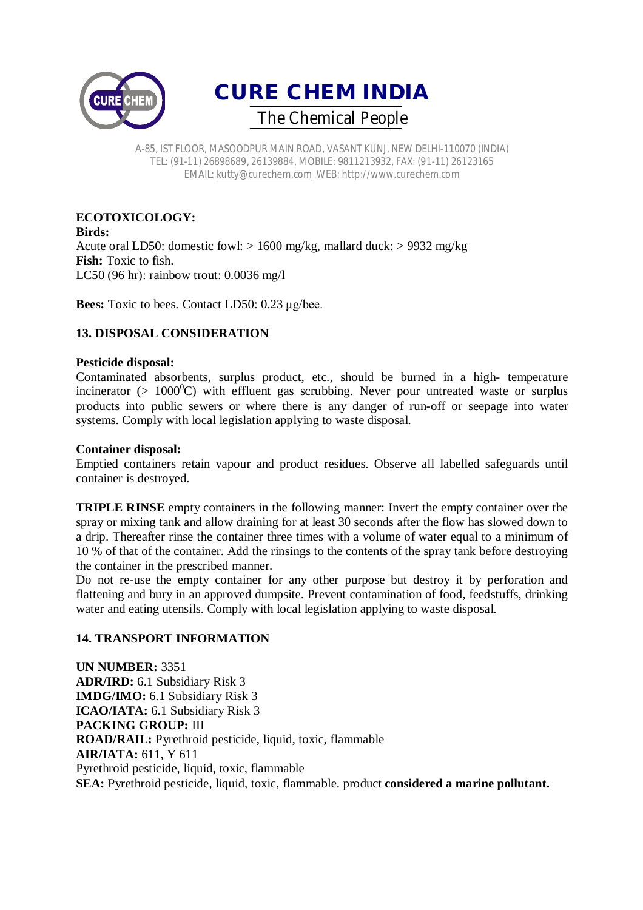



#### **ECOTOXICOLOGY: Birds:**

Acute oral LD50: domestic fowl: > 1600 mg/kg, mallard duck: > 9932 mg/kg **Fish:** Toxic to fish. LC50 (96 hr): rainbow trout: 0.0036 mg/l

**Bees:** Toxic to bees. Contact LD50: 0.23 μg/bee.

# **13. DISPOSAL CONSIDERATION**

#### **Pesticide disposal:**

Contaminated absorbents, surplus product, etc., should be burned in a high- temperature incinerator ( $> 1000^{\circ}$ C) with effluent gas scrubbing. Never pour untreated waste or surplus products into public sewers or where there is any danger of run-off or seepage into water systems. Comply with local legislation applying to waste disposal.

## **Container disposal:**

Emptied containers retain vapour and product residues. Observe all labelled safeguards until container is destroyed.

**TRIPLE RINSE** empty containers in the following manner: Invert the empty container over the spray or mixing tank and allow draining for at least 30 seconds after the flow has slowed down to a drip. Thereafter rinse the container three times with a volume of water equal to a minimum of 10 % of that of the container. Add the rinsings to the contents of the spray tank before destroying the container in the prescribed manner.

Do not re-use the empty container for any other purpose but destroy it by perforation and flattening and bury in an approved dumpsite. Prevent contamination of food, feedstuffs, drinking water and eating utensils. Comply with local legislation applying to waste disposal.

# **14. TRANSPORT INFORMATION**

**UN NUMBER:** 3351 **ADR/IRD:** 6.1 Subsidiary Risk 3 **IMDG/IMO:** 6.1 Subsidiary Risk 3 **ICAO/IATA:** 6.1 Subsidiary Risk 3 **PACKING GROUP:** III **ROAD/RAIL:** Pyrethroid pesticide, liquid, toxic, flammable **AIR/IATA:** 611, Y 611 Pyrethroid pesticide, liquid, toxic, flammable **SEA:** Pyrethroid pesticide, liquid, toxic, flammable. product **considered a marine pollutant.**